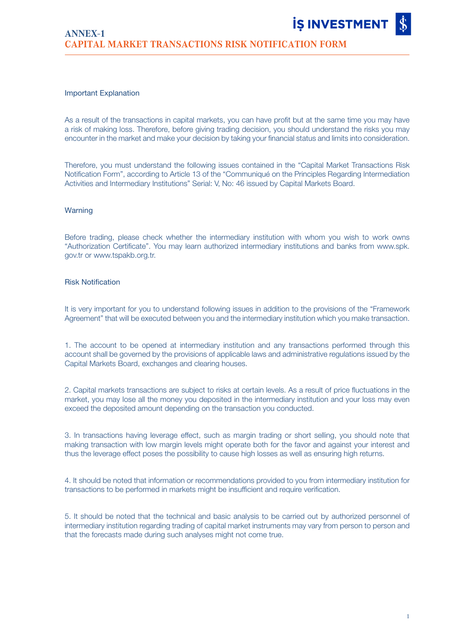## Important Explanation

As a result of the transactions in capital markets, you can have profit but at the same time you may have a risk of making loss. Therefore, before giving trading decision, you should understand the risks you may encounter in the market and make your decision by taking your financial status and limits into consideration.

Therefore, you must understand the following issues contained in the "Capital Market Transactions Risk Notification Form", according to Article 13 of the "Communiqué on the Principles Regarding Intermediation Activities and Intermediary Institutions" Serial: V, No: 46 issued by Capital Markets Board.

## Warning

Before trading, please check whether the intermediary institution with whom you wish to work owns "Authorization Certificate". You may learn authorized intermediary institutions and banks from www.spk. gov.tr or www.tspakb.org.tr.

## Risk Notification

It is very important for you to understand following issues in addition to the provisions of the "Framework Agreement" that will be executed between you and the intermediary institution which you make transaction.

1. The account to be opened at intermediary institution and any transactions performed through this account shall be governed by the provisions of applicable laws and administrative regulations issued by the Capital Markets Board, exchanges and clearing houses.

2. Capital markets transactions are subject to risks at certain levels. As a result of price fluctuations in the market, you may lose all the money you deposited in the intermediary institution and your loss may even exceed the deposited amount depending on the transaction you conducted.

3. In transactions having leverage effect, such as margin trading or short selling, you should note that making transaction with low margin levels might operate both for the favor and against your interest and thus the leverage effect poses the possibility to cause high losses as well as ensuring high returns.

4. It should be noted that information or recommendations provided to you from intermediary institution for transactions to be performed in markets might be insufficient and require verification.

5. It should be noted that the technical and basic analysis to be carried out by authorized personnel of intermediary institution regarding trading of capital market instruments may vary from person to person and that the forecasts made during such analyses might not come true.